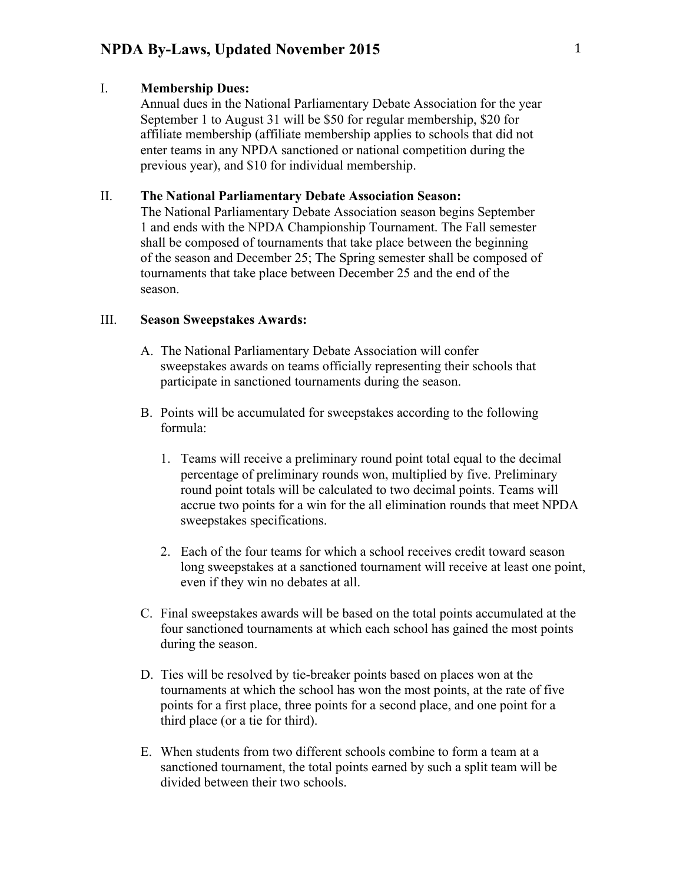#### I. **Membership Dues:**

Annual dues in the National Parliamentary Debate Association for the year September 1 to August 31 will be \$50 for regular membership, \$20 for affiliate membership (affiliate membership applies to schools that did not enter teams in any NPDA sanctioned or national competition during the previous year), and \$10 for individual membership.

### II. **The National Parliamentary Debate Association Season:**

The National Parliamentary Debate Association season begins September 1 and ends with the NPDA Championship Tournament. The Fall semester shall be composed of tournaments that take place between the beginning of the season and December 25; The Spring semester shall be composed of tournaments that take place between December 25 and the end of the season.

#### III. **Season Sweepstakes Awards:**

- A. The National Parliamentary Debate Association will confer sweepstakes awards on teams officially representing their schools that participate in sanctioned tournaments during the season.
- B. Points will be accumulated for sweepstakes according to the following formula:
	- 1. Teams will receive a preliminary round point total equal to the decimal percentage of preliminary rounds won, multiplied by five. Preliminary round point totals will be calculated to two decimal points. Teams will accrue two points for a win for the all elimination rounds that meet NPDA sweepstakes specifications.
	- 2. Each of the four teams for which a school receives credit toward season long sweepstakes at a sanctioned tournament will receive at least one point, even if they win no debates at all.
- C. Final sweepstakes awards will be based on the total points accumulated at the four sanctioned tournaments at which each school has gained the most points during the season.
- D. Ties will be resolved by tie-breaker points based on places won at the tournaments at which the school has won the most points, at the rate of five points for a first place, three points for a second place, and one point for a third place (or a tie for third).
- E. When students from two different schools combine to form a team at a sanctioned tournament, the total points earned by such a split team will be divided between their two schools.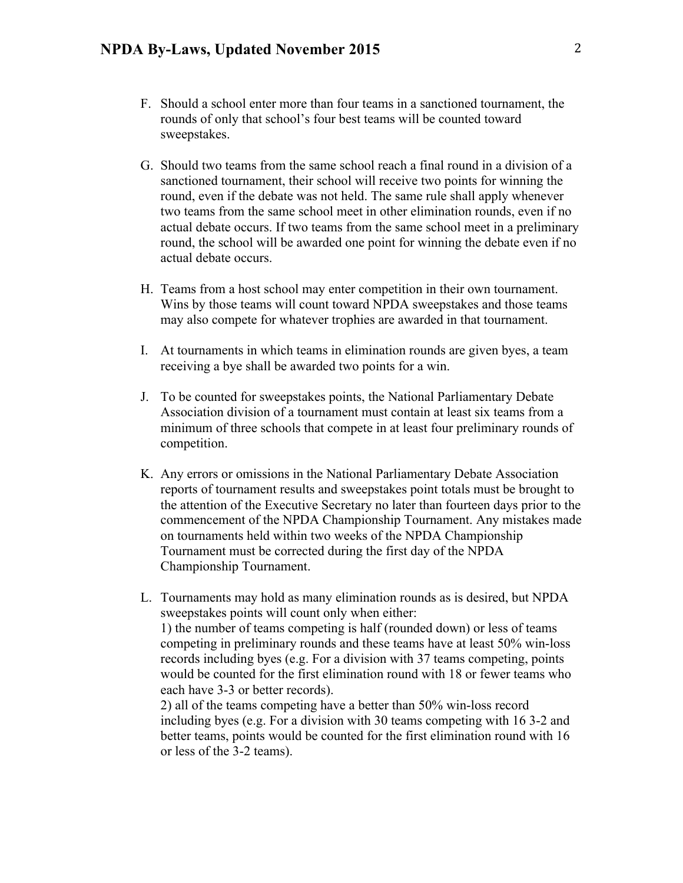- F. Should a school enter more than four teams in a sanctioned tournament, the rounds of only that school's four best teams will be counted toward sweepstakes.
- G. Should two teams from the same school reach a final round in a division of a sanctioned tournament, their school will receive two points for winning the round, even if the debate was not held. The same rule shall apply whenever two teams from the same school meet in other elimination rounds, even if no actual debate occurs. If two teams from the same school meet in a preliminary round, the school will be awarded one point for winning the debate even if no actual debate occurs.
- H. Teams from a host school may enter competition in their own tournament. Wins by those teams will count toward NPDA sweepstakes and those teams may also compete for whatever trophies are awarded in that tournament.
- I. At tournaments in which teams in elimination rounds are given byes, a team receiving a bye shall be awarded two points for a win.
- J. To be counted for sweepstakes points, the National Parliamentary Debate Association division of a tournament must contain at least six teams from a minimum of three schools that compete in at least four preliminary rounds of competition.
- K. Any errors or omissions in the National Parliamentary Debate Association reports of tournament results and sweepstakes point totals must be brought to the attention of the Executive Secretary no later than fourteen days prior to the commencement of the NPDA Championship Tournament. Any mistakes made on tournaments held within two weeks of the NPDA Championship Tournament must be corrected during the first day of the NPDA Championship Tournament.
- L. Tournaments may hold as many elimination rounds as is desired, but NPDA sweepstakes points will count only when either: 1) the number of teams competing is half (rounded down) or less of teams competing in preliminary rounds and these teams have at least 50% win-loss records including byes (e.g. For a division with 37 teams competing, points would be counted for the first elimination round with 18 or fewer teams who each have 3-3 or better records).

2) all of the teams competing have a better than 50% win-loss record including byes (e.g. For a division with 30 teams competing with 16 3-2 and better teams, points would be counted for the first elimination round with 16 or less of the 3-2 teams).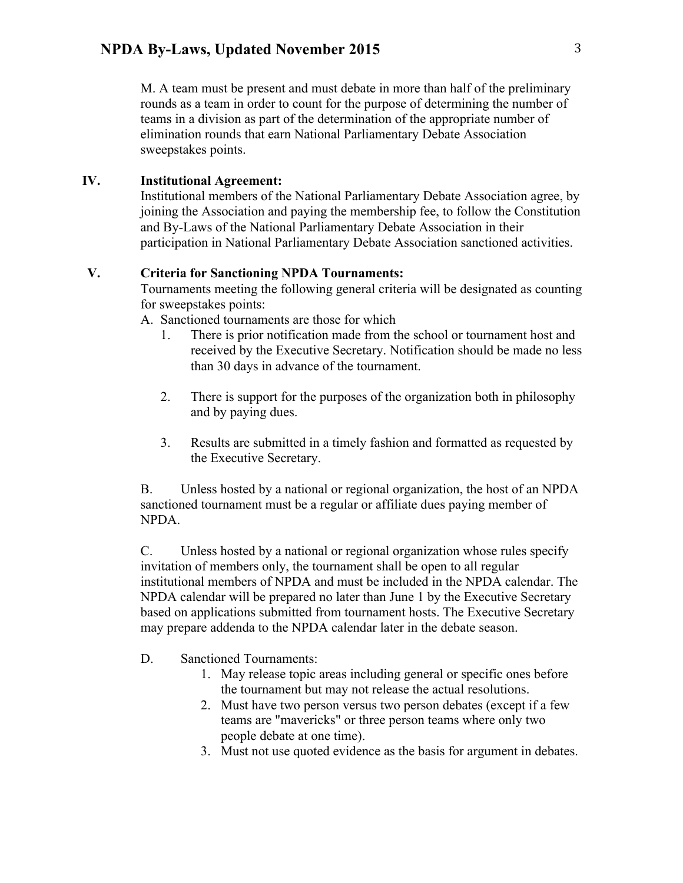M. A team must be present and must debate in more than half of the preliminary rounds as a team in order to count for the purpose of determining the number of teams in a division as part of the determination of the appropriate number of elimination rounds that earn National Parliamentary Debate Association sweepstakes points.

#### **IV. Institutional Agreement:**

Institutional members of the National Parliamentary Debate Association agree, by joining the Association and paying the membership fee, to follow the Constitution and By-Laws of the National Parliamentary Debate Association in their participation in National Parliamentary Debate Association sanctioned activities.

#### **V. Criteria for Sanctioning NPDA Tournaments:**

Tournaments meeting the following general criteria will be designated as counting for sweepstakes points:

- A. Sanctioned tournaments are those for which
	- 1. There is prior notification made from the school or tournament host and received by the Executive Secretary. Notification should be made no less than 30 days in advance of the tournament.
	- 2. There is support for the purposes of the organization both in philosophy and by paying dues.
	- 3. Results are submitted in a timely fashion and formatted as requested by the Executive Secretary.

B. Unless hosted by a national or regional organization, the host of an NPDA sanctioned tournament must be a regular or affiliate dues paying member of NPDA.

C. Unless hosted by a national or regional organization whose rules specify invitation of members only, the tournament shall be open to all regular institutional members of NPDA and must be included in the NPDA calendar. The NPDA calendar will be prepared no later than June 1 by the Executive Secretary based on applications submitted from tournament hosts. The Executive Secretary may prepare addenda to the NPDA calendar later in the debate season.

- D. Sanctioned Tournaments:
	- 1. May release topic areas including general or specific ones before the tournament but may not release the actual resolutions.
	- 2. Must have two person versus two person debates (except if a few teams are "mavericks" or three person teams where only two people debate at one time).
	- 3. Must not use quoted evidence as the basis for argument in debates.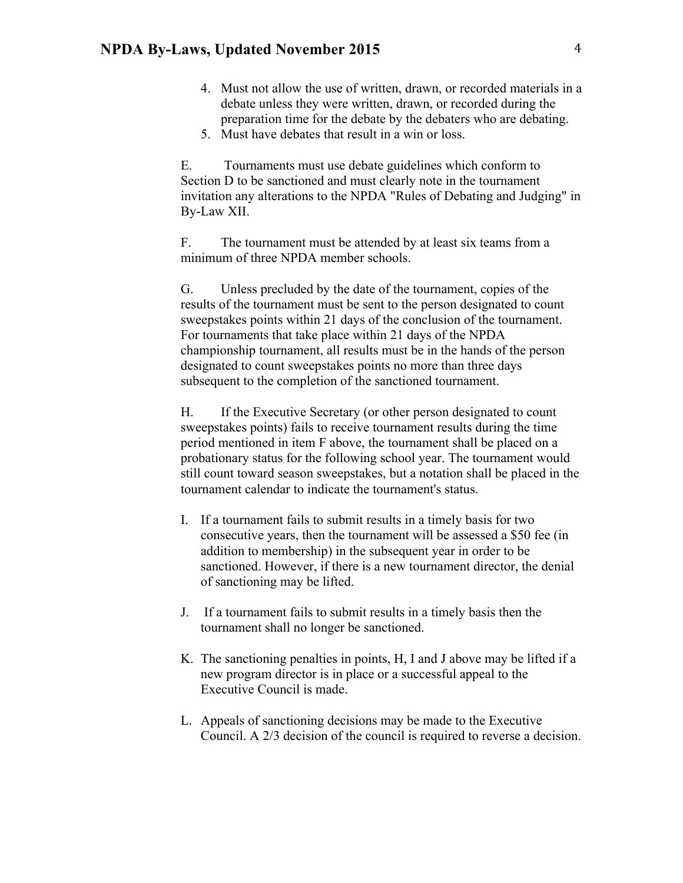- 4. Must not allow the use of written, drawn, or recorded materials in a debate unless they were written, drawn, or recorded during the preparation time for the debate by the debaters who are debating.
- 5. Must have debates that result in a win or loss.

E. Tournaments must use debate guidelines which conform to Section D to be sanctioned and must clearly note in the tournament invitation any alterations to the NPDA "Rules of Debating and Judging" in By-Law XII.

F. The tournament must be attended by at least six teams from a minimum of three NPDA member schools.

G. Unless precluded by the date of the tournament, copies of the results of the tournament must be sent to the person designated to count sweepstakes points within 21 days of the conclusion of the tournament. For tournaments that take place within 21 days of the NPDA championship tournament, all results must be in the hands of the person designated to count sweepstakes points no more than three days subsequent to the completion of the sanctioned tournament.

H. If the Executive Secretary (or other person designated to count sweepstakes points) fails to receive tournament results during the time period mentioned in item F above, the tournament shall be placed on a probationary status for the following school year. The tournament would still count toward season sweepstakes, but a notation shall be placed in the tournament calendar to indicate the tournament's status.

- I. If a tournament fails to submit results in a timely basis for two consecutive years, then the tournament will be assessed a \$50 fee (in addition to membership) in the subsequent year in order to be sanctioned. However, if there is a new tournament director, the denial of sanctioning may be lifted.
- J. If a tournament fails to submit results in a timely basis then the tournament shall no longer be sanctioned.
- K. The sanctioning penalties in points, H, I and J above may be lifted if a new program director is in place or a successful appeal to the Executive Council is made.
- L. Appeals of sanctioning decisions may be made to the Executive Council. A 2/3 decision of the council is required to reverse a decision.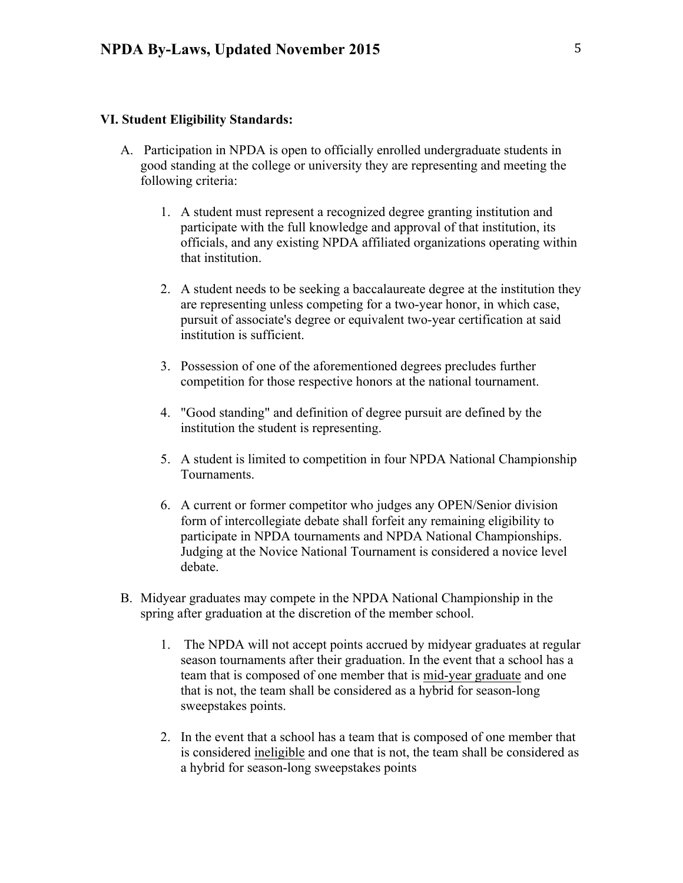#### **VI. Student Eligibility Standards:**

- A. Participation in NPDA is open to officially enrolled undergraduate students in good standing at the college or university they are representing and meeting the following criteria:
	- 1. A student must represent a recognized degree granting institution and participate with the full knowledge and approval of that institution, its officials, and any existing NPDA affiliated organizations operating within that institution.
	- 2. A student needs to be seeking a baccalaureate degree at the institution they are representing unless competing for a two-year honor, in which case, pursuit of associate's degree or equivalent two-year certification at said institution is sufficient.
	- 3. Possession of one of the aforementioned degrees precludes further competition for those respective honors at the national tournament.
	- 4. "Good standing" and definition of degree pursuit are defined by the institution the student is representing.
	- 5. A student is limited to competition in four NPDA National Championship Tournaments.
	- 6. A current or former competitor who judges any OPEN/Senior division form of intercollegiate debate shall forfeit any remaining eligibility to participate in NPDA tournaments and NPDA National Championships. Judging at the Novice National Tournament is considered a novice level debate.
- B. Midyear graduates may compete in the NPDA National Championship in the spring after graduation at the discretion of the member school.
	- 1. The NPDA will not accept points accrued by midyear graduates at regular season tournaments after their graduation. In the event that a school has a team that is composed of one member that is mid-year graduate and one that is not, the team shall be considered as a hybrid for season-long sweepstakes points.
	- 2. In the event that a school has a team that is composed of one member that is considered ineligible and one that is not, the team shall be considered as a hybrid for season-long sweepstakes points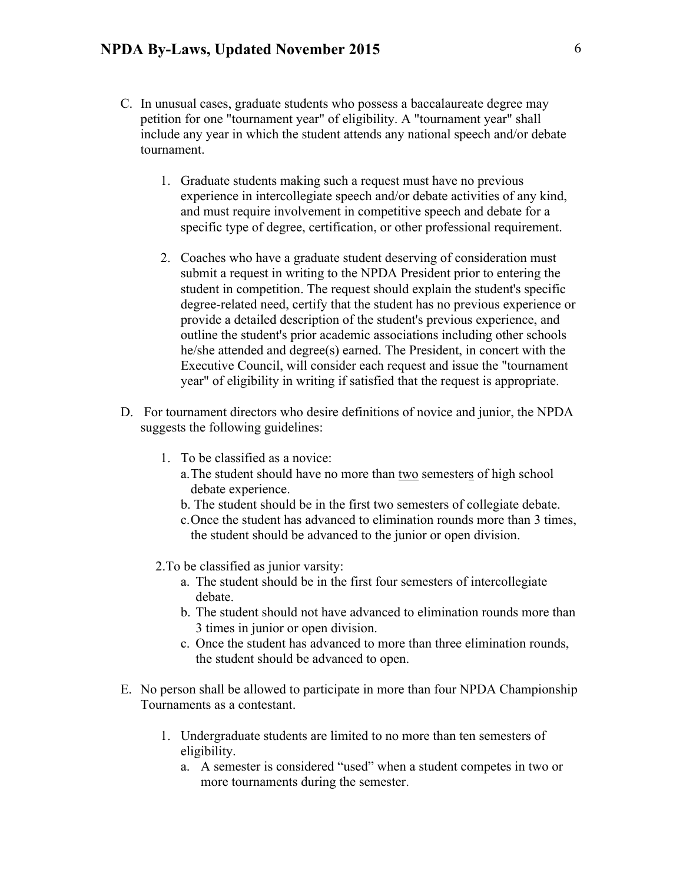- C. In unusual cases, graduate students who possess a baccalaureate degree may petition for one "tournament year" of eligibility. A "tournament year" shall include any year in which the student attends any national speech and/or debate tournament.
	- 1. Graduate students making such a request must have no previous experience in intercollegiate speech and/or debate activities of any kind, and must require involvement in competitive speech and debate for a specific type of degree, certification, or other professional requirement.
	- 2. Coaches who have a graduate student deserving of consideration must submit a request in writing to the NPDA President prior to entering the student in competition. The request should explain the student's specific degree-related need, certify that the student has no previous experience or provide a detailed description of the student's previous experience, and outline the student's prior academic associations including other schools he/she attended and degree(s) earned. The President, in concert with the Executive Council, will consider each request and issue the "tournament year" of eligibility in writing if satisfied that the request is appropriate.
- D. For tournament directors who desire definitions of novice and junior, the NPDA suggests the following guidelines:
	- 1. To be classified as a novice:
		- a.The student should have no more than two semesters of high school debate experience.
		- b. The student should be in the first two semesters of collegiate debate.
		- c.Once the student has advanced to elimination rounds more than 3 times, the student should be advanced to the junior or open division.
	- 2.To be classified as junior varsity:
		- a. The student should be in the first four semesters of intercollegiate debate.
		- b. The student should not have advanced to elimination rounds more than 3 times in junior or open division.
		- c. Once the student has advanced to more than three elimination rounds, the student should be advanced to open.
- E. No person shall be allowed to participate in more than four NPDA Championship Tournaments as a contestant.
	- 1. Undergraduate students are limited to no more than ten semesters of eligibility.
		- a. A semester is considered "used" when a student competes in two or more tournaments during the semester.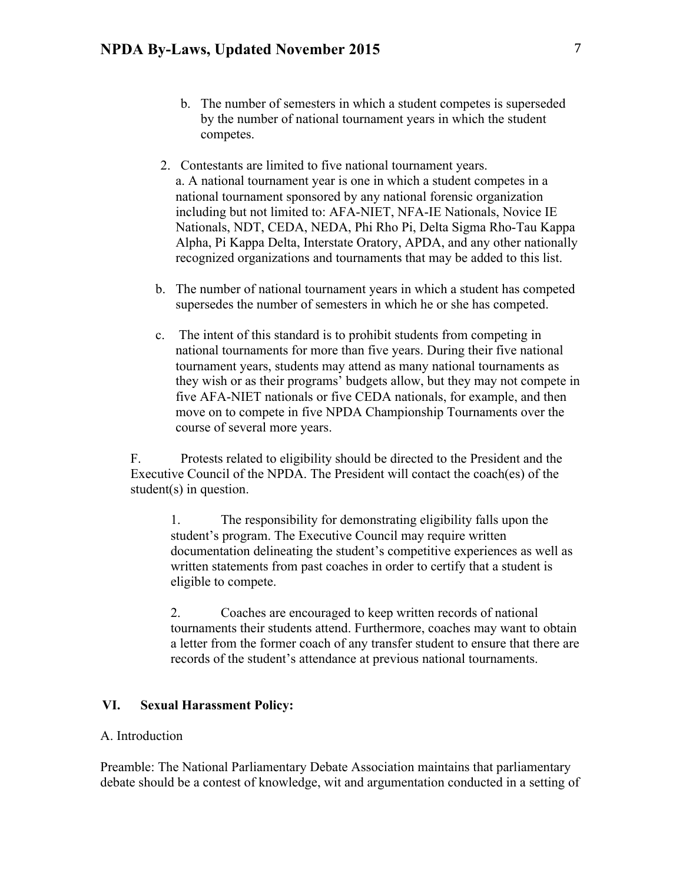- b. The number of semesters in which a student competes is superseded by the number of national tournament years in which the student competes.
- 2. Contestants are limited to five national tournament years. a. A national tournament year is one in which a student competes in a national tournament sponsored by any national forensic organization including but not limited to: AFA-NIET, NFA-IE Nationals, Novice IE Nationals, NDT, CEDA, NEDA, Phi Rho Pi, Delta Sigma Rho-Tau Kappa Alpha, Pi Kappa Delta, Interstate Oratory, APDA, and any other nationally recognized organizations and tournaments that may be added to this list.
- b. The number of national tournament years in which a student has competed supersedes the number of semesters in which he or she has competed.
- c. The intent of this standard is to prohibit students from competing in national tournaments for more than five years. During their five national tournament years, students may attend as many national tournaments as they wish or as their programs' budgets allow, but they may not compete in five AFA-NIET nationals or five CEDA nationals, for example, and then move on to compete in five NPDA Championship Tournaments over the course of several more years.

F. Protests related to eligibility should be directed to the President and the Executive Council of the NPDA. The President will contact the coach(es) of the student(s) in question.

1. The responsibility for demonstrating eligibility falls upon the student's program. The Executive Council may require written documentation delineating the student's competitive experiences as well as written statements from past coaches in order to certify that a student is eligible to compete.

2. Coaches are encouraged to keep written records of national tournaments their students attend. Furthermore, coaches may want to obtain a letter from the former coach of any transfer student to ensure that there are records of the student's attendance at previous national tournaments.

### **VI. Sexual Harassment Policy:**

#### A. Introduction

Preamble: The National Parliamentary Debate Association maintains that parliamentary debate should be a contest of knowledge, wit and argumentation conducted in a setting of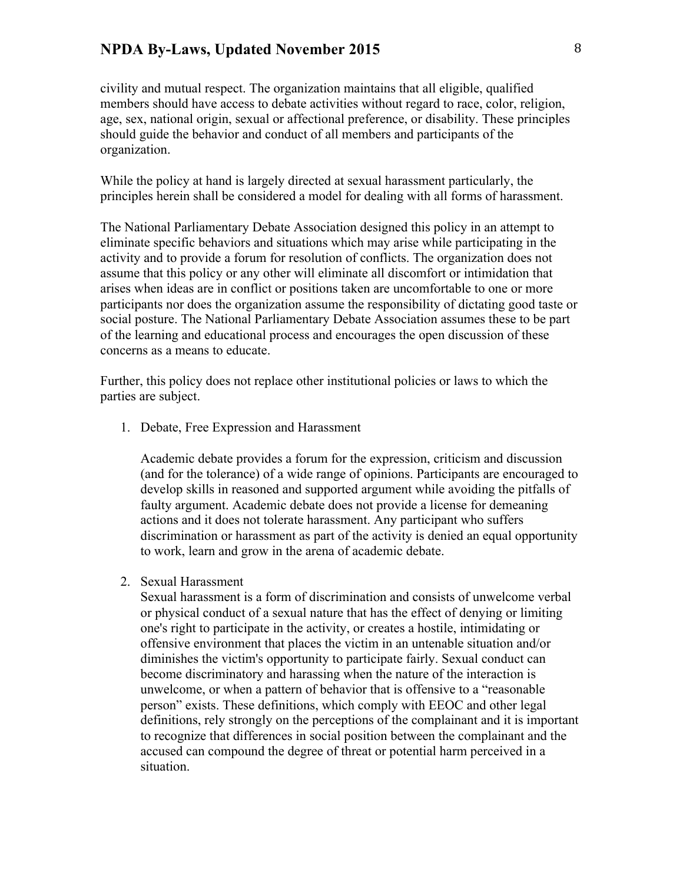civility and mutual respect. The organization maintains that all eligible, qualified members should have access to debate activities without regard to race, color, religion, age, sex, national origin, sexual or affectional preference, or disability. These principles should guide the behavior and conduct of all members and participants of the organization.

While the policy at hand is largely directed at sexual harassment particularly, the principles herein shall be considered a model for dealing with all forms of harassment.

The National Parliamentary Debate Association designed this policy in an attempt to eliminate specific behaviors and situations which may arise while participating in the activity and to provide a forum for resolution of conflicts. The organization does not assume that this policy or any other will eliminate all discomfort or intimidation that arises when ideas are in conflict or positions taken are uncomfortable to one or more participants nor does the organization assume the responsibility of dictating good taste or social posture. The National Parliamentary Debate Association assumes these to be part of the learning and educational process and encourages the open discussion of these concerns as a means to educate.

Further, this policy does not replace other institutional policies or laws to which the parties are subject.

1. Debate, Free Expression and Harassment

Academic debate provides a forum for the expression, criticism and discussion (and for the tolerance) of a wide range of opinions. Participants are encouraged to develop skills in reasoned and supported argument while avoiding the pitfalls of faulty argument. Academic debate does not provide a license for demeaning actions and it does not tolerate harassment. Any participant who suffers discrimination or harassment as part of the activity is denied an equal opportunity to work, learn and grow in the arena of academic debate.

2. Sexual Harassment

Sexual harassment is a form of discrimination and consists of unwelcome verbal or physical conduct of a sexual nature that has the effect of denying or limiting one's right to participate in the activity, or creates a hostile, intimidating or offensive environment that places the victim in an untenable situation and/or diminishes the victim's opportunity to participate fairly. Sexual conduct can become discriminatory and harassing when the nature of the interaction is unwelcome, or when a pattern of behavior that is offensive to a "reasonable person" exists. These definitions, which comply with EEOC and other legal definitions, rely strongly on the perceptions of the complainant and it is important to recognize that differences in social position between the complainant and the accused can compound the degree of threat or potential harm perceived in a situation.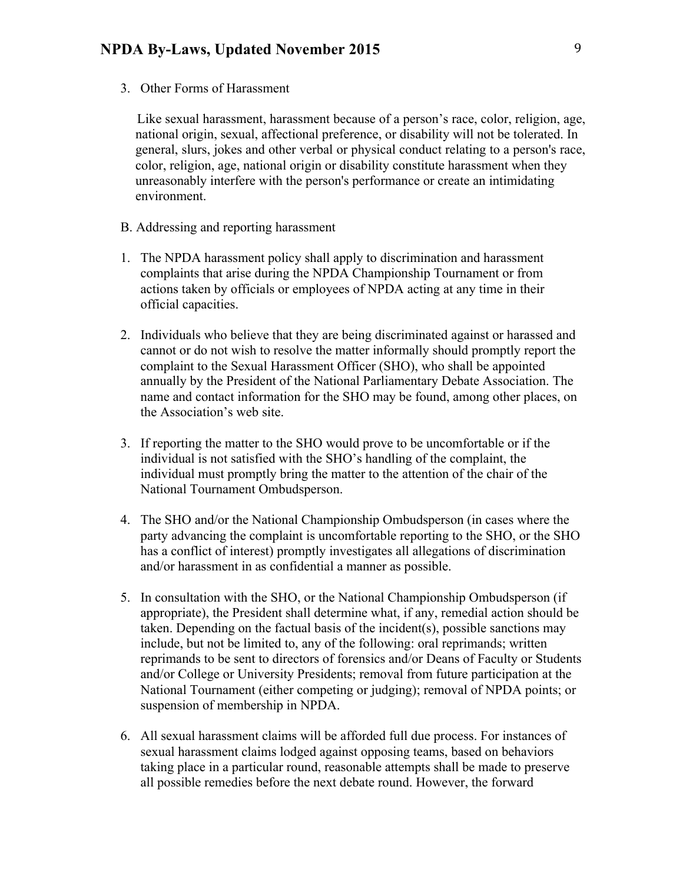3. Other Forms of Harassment

 Like sexual harassment, harassment because of a person's race, color, religion, age, national origin, sexual, affectional preference, or disability will not be tolerated. In general, slurs, jokes and other verbal or physical conduct relating to a person's race, color, religion, age, national origin or disability constitute harassment when they unreasonably interfere with the person's performance or create an intimidating environment.

- B. Addressing and reporting harassment
- 1. The NPDA harassment policy shall apply to discrimination and harassment complaints that arise during the NPDA Championship Tournament or from actions taken by officials or employees of NPDA acting at any time in their official capacities.
- 2. Individuals who believe that they are being discriminated against or harassed and cannot or do not wish to resolve the matter informally should promptly report the complaint to the Sexual Harassment Officer (SHO), who shall be appointed annually by the President of the National Parliamentary Debate Association. The name and contact information for the SHO may be found, among other places, on the Association's web site.
- 3. If reporting the matter to the SHO would prove to be uncomfortable or if the individual is not satisfied with the SHO's handling of the complaint, the individual must promptly bring the matter to the attention of the chair of the National Tournament Ombudsperson.
- 4. The SHO and/or the National Championship Ombudsperson (in cases where the party advancing the complaint is uncomfortable reporting to the SHO, or the SHO has a conflict of interest) promptly investigates all allegations of discrimination and/or harassment in as confidential a manner as possible.
- 5. In consultation with the SHO, or the National Championship Ombudsperson (if appropriate), the President shall determine what, if any, remedial action should be taken. Depending on the factual basis of the incident(s), possible sanctions may include, but not be limited to, any of the following: oral reprimands; written reprimands to be sent to directors of forensics and/or Deans of Faculty or Students and/or College or University Presidents; removal from future participation at the National Tournament (either competing or judging); removal of NPDA points; or suspension of membership in NPDA.
- 6. All sexual harassment claims will be afforded full due process. For instances of sexual harassment claims lodged against opposing teams, based on behaviors taking place in a particular round, reasonable attempts shall be made to preserve all possible remedies before the next debate round. However, the forward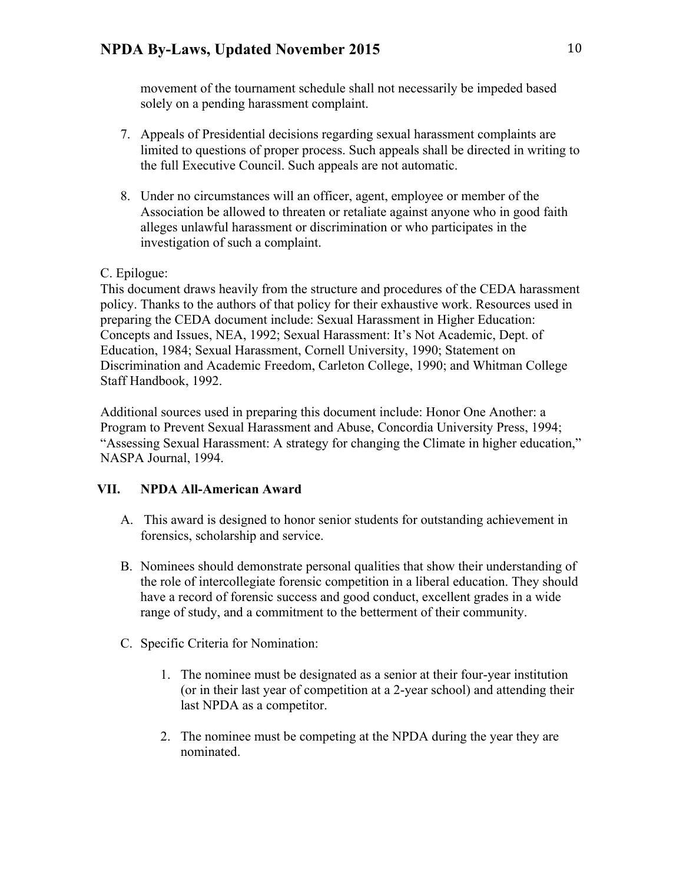movement of the tournament schedule shall not necessarily be impeded based solely on a pending harassment complaint.

- 7. Appeals of Presidential decisions regarding sexual harassment complaints are limited to questions of proper process. Such appeals shall be directed in writing to the full Executive Council. Such appeals are not automatic.
- 8. Under no circumstances will an officer, agent, employee or member of the Association be allowed to threaten or retaliate against anyone who in good faith alleges unlawful harassment or discrimination or who participates in the investigation of such a complaint.

# C. Epilogue:

This document draws heavily from the structure and procedures of the CEDA harassment policy. Thanks to the authors of that policy for their exhaustive work. Resources used in preparing the CEDA document include: Sexual Harassment in Higher Education: Concepts and Issues, NEA, 1992; Sexual Harassment: It's Not Academic, Dept. of Education, 1984; Sexual Harassment, Cornell University, 1990; Statement on Discrimination and Academic Freedom, Carleton College, 1990; and Whitman College Staff Handbook, 1992.

Additional sources used in preparing this document include: Honor One Another: a Program to Prevent Sexual Harassment and Abuse, Concordia University Press, 1994; "Assessing Sexual Harassment: A strategy for changing the Climate in higher education," NASPA Journal, 1994.

# **VII. NPDA All-American Award**

- A. This award is designed to honor senior students for outstanding achievement in forensics, scholarship and service.
- B. Nominees should demonstrate personal qualities that show their understanding of the role of intercollegiate forensic competition in a liberal education. They should have a record of forensic success and good conduct, excellent grades in a wide range of study, and a commitment to the betterment of their community.
- C. Specific Criteria for Nomination:
	- 1. The nominee must be designated as a senior at their four-year institution (or in their last year of competition at a 2-year school) and attending their last NPDA as a competitor.
	- 2. The nominee must be competing at the NPDA during the year they are nominated.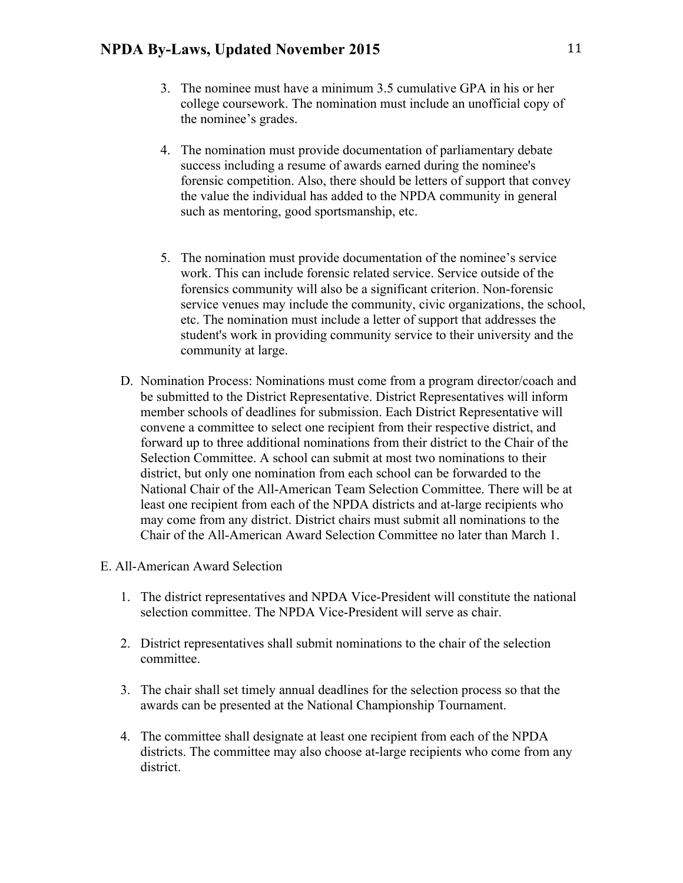- 3. The nominee must have a minimum 3.5 cumulative GPA in his or her college coursework. The nomination must include an unofficial copy of the nominee's grades.
- 4. The nomination must provide documentation of parliamentary debate success including a resume of awards earned during the nominee's forensic competition. Also, there should be letters of support that convey the value the individual has added to the NPDA community in general such as mentoring, good sportsmanship, etc.
- 5. The nomination must provide documentation of the nominee's service work. This can include forensic related service. Service outside of the forensics community will also be a significant criterion. Non-forensic service venues may include the community, civic organizations, the school, etc. The nomination must include a letter of support that addresses the student's work in providing community service to their university and the community at large.
- D. Nomination Process: Nominations must come from a program director/coach and be submitted to the District Representative. District Representatives will inform member schools of deadlines for submission. Each District Representative will convene a committee to select one recipient from their respective district, and forward up to three additional nominations from their district to the Chair of the Selection Committee. A school can submit at most two nominations to their district, but only one nomination from each school can be forwarded to the National Chair of the All-American Team Selection Committee. There will be at least one recipient from each of the NPDA districts and at-large recipients who may come from any district. District chairs must submit all nominations to the Chair of the All-American Award Selection Committee no later than March 1.
- E. All-American Award Selection
	- 1. The district representatives and NPDA Vice-President will constitute the national selection committee. The NPDA Vice-President will serve as chair.
	- 2. District representatives shall submit nominations to the chair of the selection committee.
	- 3. The chair shall set timely annual deadlines for the selection process so that the awards can be presented at the National Championship Tournament.
	- 4. The committee shall designate at least one recipient from each of the NPDA districts. The committee may also choose at-large recipients who come from any district.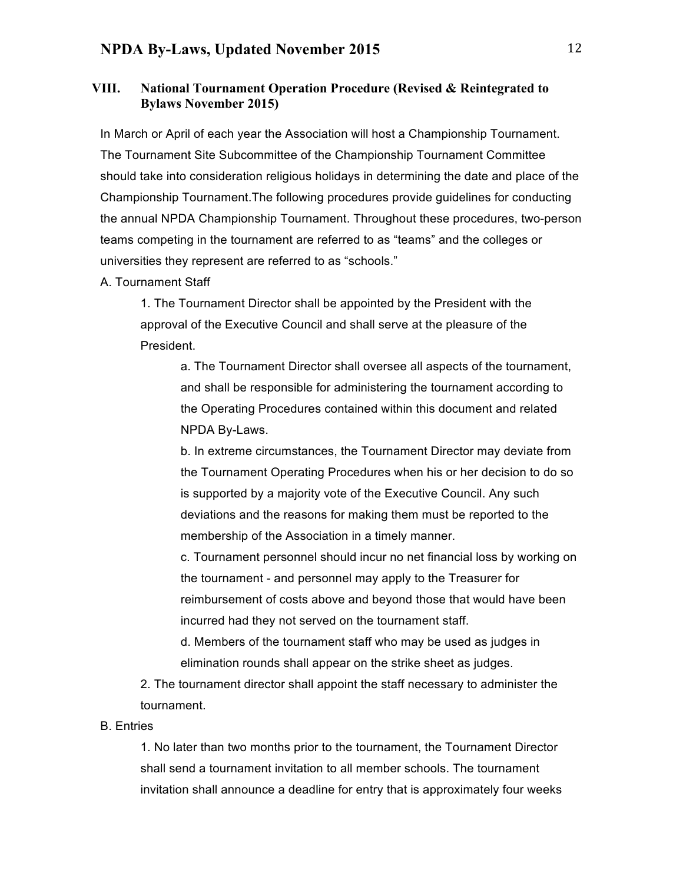### **VIII. National Tournament Operation Procedure (Revised & Reintegrated to Bylaws November 2015)**

In March or April of each year the Association will host a Championship Tournament. The Tournament Site Subcommittee of the Championship Tournament Committee should take into consideration religious holidays in determining the date and place of the Championship Tournament.The following procedures provide guidelines for conducting the annual NPDA Championship Tournament. Throughout these procedures, two-person teams competing in the tournament are referred to as "teams" and the colleges or universities they represent are referred to as "schools."

#### A. Tournament Staff

1. The Tournament Director shall be appointed by the President with the approval of the Executive Council and shall serve at the pleasure of the President.

> a. The Tournament Director shall oversee all aspects of the tournament, and shall be responsible for administering the tournament according to the Operating Procedures contained within this document and related NPDA By-Laws.

> b. In extreme circumstances, the Tournament Director may deviate from the Tournament Operating Procedures when his or her decision to do so is supported by a majority vote of the Executive Council. Any such deviations and the reasons for making them must be reported to the membership of the Association in a timely manner.

> c. Tournament personnel should incur no net financial loss by working on the tournament - and personnel may apply to the Treasurer for reimbursement of costs above and beyond those that would have been incurred had they not served on the tournament staff.

d. Members of the tournament staff who may be used as judges in elimination rounds shall appear on the strike sheet as judges.

2. The tournament director shall appoint the staff necessary to administer the tournament.

#### B. Entries

1. No later than two months prior to the tournament, the Tournament Director shall send a tournament invitation to all member schools. The tournament invitation shall announce a deadline for entry that is approximately four weeks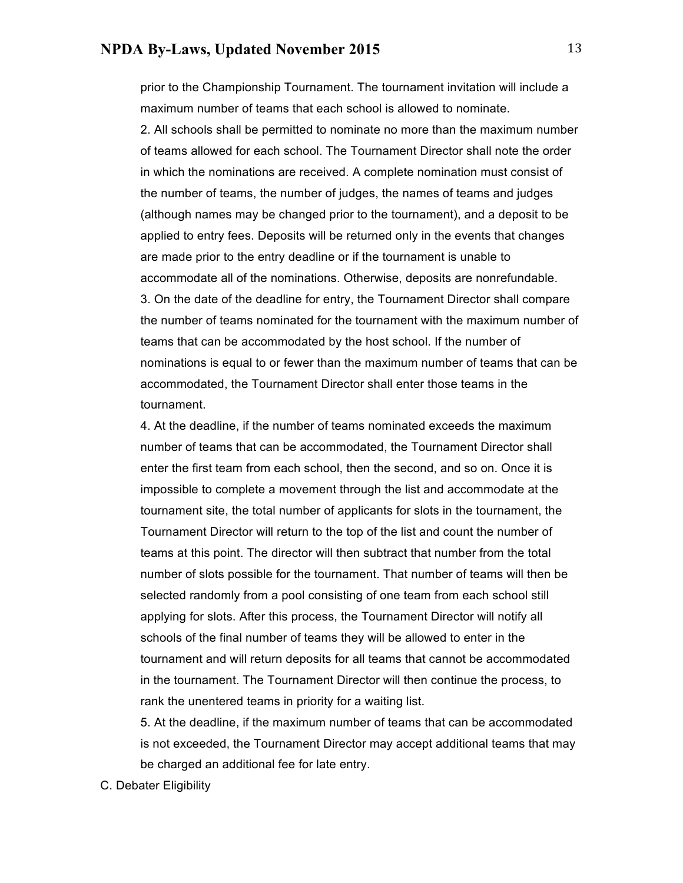prior to the Championship Tournament. The tournament invitation will include a maximum number of teams that each school is allowed to nominate.

2. All schools shall be permitted to nominate no more than the maximum number of teams allowed for each school. The Tournament Director shall note the order in which the nominations are received. A complete nomination must consist of the number of teams, the number of judges, the names of teams and judges (although names may be changed prior to the tournament), and a deposit to be applied to entry fees. Deposits will be returned only in the events that changes are made prior to the entry deadline or if the tournament is unable to accommodate all of the nominations. Otherwise, deposits are nonrefundable. 3. On the date of the deadline for entry, the Tournament Director shall compare the number of teams nominated for the tournament with the maximum number of teams that can be accommodated by the host school. If the number of nominations is equal to or fewer than the maximum number of teams that can be accommodated, the Tournament Director shall enter those teams in the tournament.

4. At the deadline, if the number of teams nominated exceeds the maximum number of teams that can be accommodated, the Tournament Director shall enter the first team from each school, then the second, and so on. Once it is impossible to complete a movement through the list and accommodate at the tournament site, the total number of applicants for slots in the tournament, the Tournament Director will return to the top of the list and count the number of teams at this point. The director will then subtract that number from the total number of slots possible for the tournament. That number of teams will then be selected randomly from a pool consisting of one team from each school still applying for slots. After this process, the Tournament Director will notify all schools of the final number of teams they will be allowed to enter in the tournament and will return deposits for all teams that cannot be accommodated in the tournament. The Tournament Director will then continue the process, to rank the unentered teams in priority for a waiting list.

5. At the deadline, if the maximum number of teams that can be accommodated is not exceeded, the Tournament Director may accept additional teams that may be charged an additional fee for late entry.

C. Debater Eligibility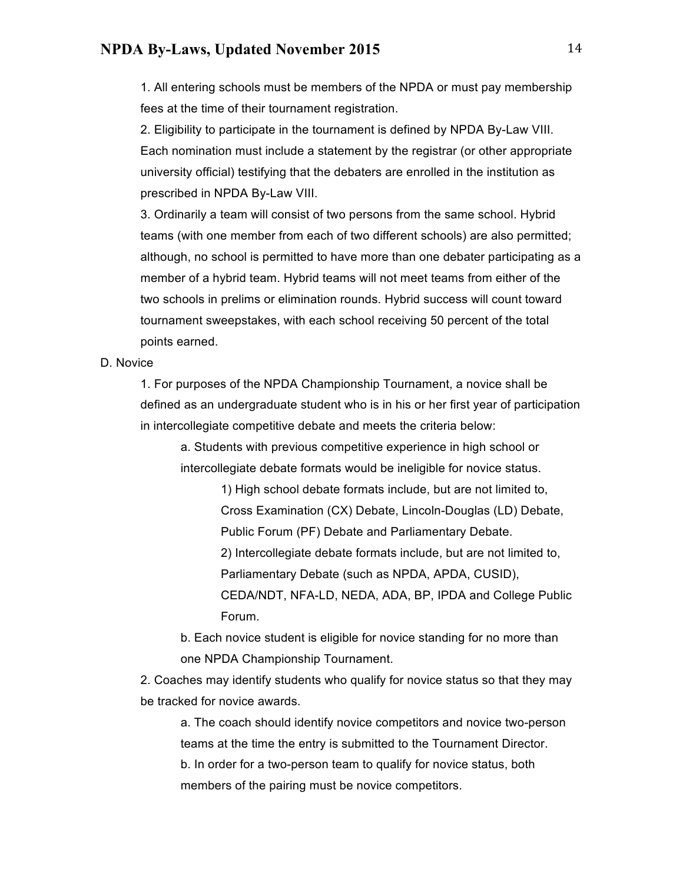1. All entering schools must be members of the NPDA or must pay membership fees at the time of their tournament registration.

2. Eligibility to participate in the tournament is defined by NPDA By-Law VIII. Each nomination must include a statement by the registrar (or other appropriate university official) testifying that the debaters are enrolled in the institution as prescribed in NPDA By-Law VIII.

3. Ordinarily a team will consist of two persons from the same school. Hybrid teams (with one member from each of two different schools) are also permitted; although, no school is permitted to have more than one debater participating as a member of a hybrid team. Hybrid teams will not meet teams from either of the two schools in prelims or elimination rounds. Hybrid success will count toward tournament sweepstakes, with each school receiving 50 percent of the total points earned.

D. Novice

1. For purposes of the NPDA Championship Tournament, a novice shall be defined as an undergraduate student who is in his or her first year of participation in intercollegiate competitive debate and meets the criteria below:

a. Students with previous competitive experience in high school or intercollegiate debate formats would be ineligible for novice status.

> 1) High school debate formats include, but are not limited to, Cross Examination (CX) Debate, Lincoln-Douglas (LD) Debate, Public Forum (PF) Debate and Parliamentary Debate. 2) Intercollegiate debate formats include, but are not limited to, Parliamentary Debate (such as NPDA, APDA, CUSID), CEDA/NDT, NFA-LD, NEDA, ADA, BP, IPDA and College Public Forum.

b. Each novice student is eligible for novice standing for no more than one NPDA Championship Tournament.

2. Coaches may identify students who qualify for novice status so that they may be tracked for novice awards.

a. The coach should identify novice competitors and novice two-person teams at the time the entry is submitted to the Tournament Director. b. In order for a two-person team to qualify for novice status, both members of the pairing must be novice competitors.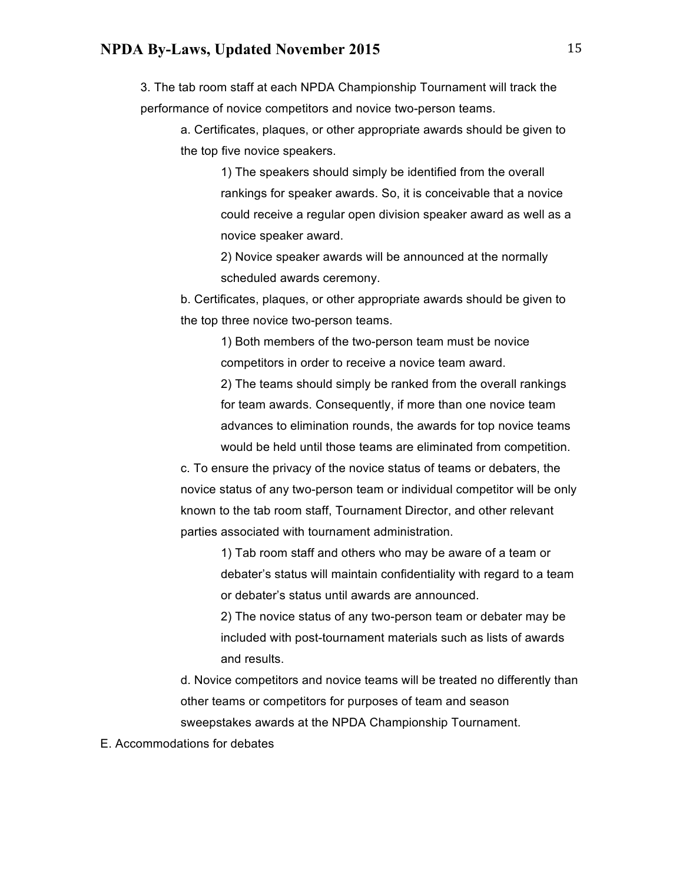3. The tab room staff at each NPDA Championship Tournament will track the performance of novice competitors and novice two-person teams.

a. Certificates, plaques, or other appropriate awards should be given to the top five novice speakers.

> 1) The speakers should simply be identified from the overall rankings for speaker awards. So, it is conceivable that a novice could receive a regular open division speaker award as well as a novice speaker award.

2) Novice speaker awards will be announced at the normally scheduled awards ceremony.

b. Certificates, plaques, or other appropriate awards should be given to the top three novice two-person teams.

> 1) Both members of the two-person team must be novice competitors in order to receive a novice team award.

2) The teams should simply be ranked from the overall rankings for team awards. Consequently, if more than one novice team advances to elimination rounds, the awards for top novice teams would be held until those teams are eliminated from competition.

c. To ensure the privacy of the novice status of teams or debaters, the novice status of any two-person team or individual competitor will be only known to the tab room staff, Tournament Director, and other relevant parties associated with tournament administration.

> 1) Tab room staff and others who may be aware of a team or debater's status will maintain confidentiality with regard to a team or debater's status until awards are announced.

2) The novice status of any two-person team or debater may be included with post-tournament materials such as lists of awards and results.

d. Novice competitors and novice teams will be treated no differently than other teams or competitors for purposes of team and season sweepstakes awards at the NPDA Championship Tournament.

E. Accommodations for debates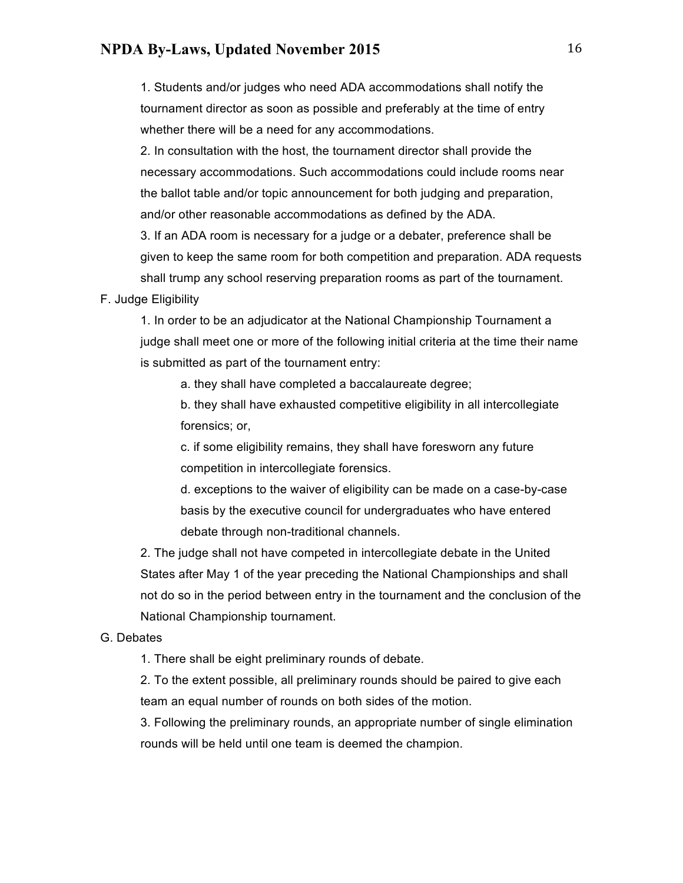1. Students and/or judges who need ADA accommodations shall notify the tournament director as soon as possible and preferably at the time of entry whether there will be a need for any accommodations.

2. In consultation with the host, the tournament director shall provide the necessary accommodations. Such accommodations could include rooms near the ballot table and/or topic announcement for both judging and preparation, and/or other reasonable accommodations as defined by the ADA.

3. If an ADA room is necessary for a judge or a debater, preference shall be given to keep the same room for both competition and preparation. ADA requests shall trump any school reserving preparation rooms as part of the tournament.

#### F. Judge Eligibility

1. In order to be an adjudicator at the National Championship Tournament a judge shall meet one or more of the following initial criteria at the time their name is submitted as part of the tournament entry:

a. they shall have completed a baccalaureate degree;

b. they shall have exhausted competitive eligibility in all intercollegiate forensics; or,

c. if some eligibility remains, they shall have foresworn any future competition in intercollegiate forensics.

d. exceptions to the waiver of eligibility can be made on a case-by-case basis by the executive council for undergraduates who have entered debate through non-traditional channels.

2. The judge shall not have competed in intercollegiate debate in the United States after May 1 of the year preceding the National Championships and shall not do so in the period between entry in the tournament and the conclusion of the National Championship tournament.

#### G. Debates

1. There shall be eight preliminary rounds of debate.

2. To the extent possible, all preliminary rounds should be paired to give each team an equal number of rounds on both sides of the motion.

3. Following the preliminary rounds, an appropriate number of single elimination rounds will be held until one team is deemed the champion.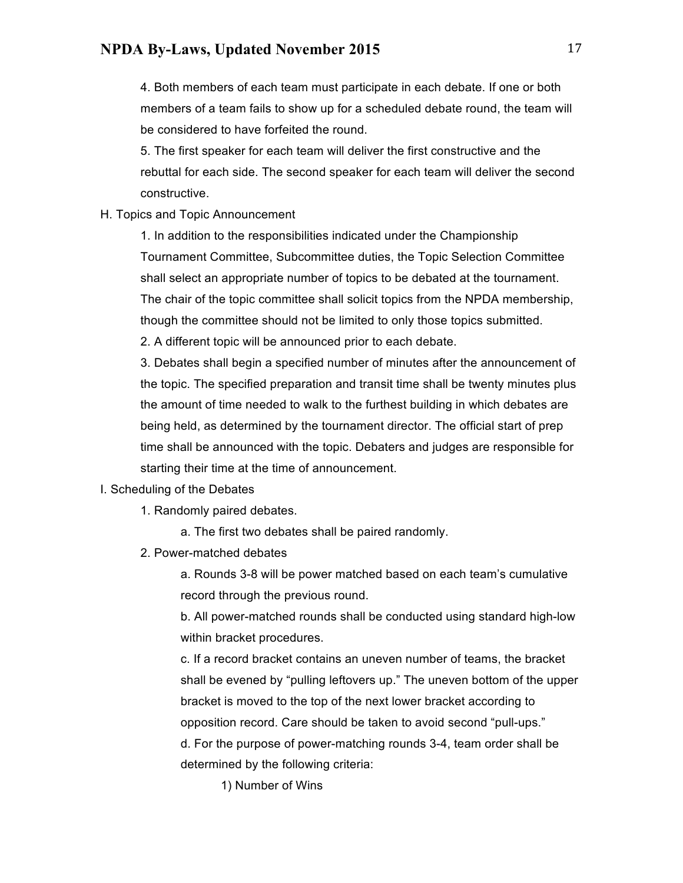4. Both members of each team must participate in each debate. If one or both members of a team fails to show up for a scheduled debate round, the team will be considered to have forfeited the round.

5. The first speaker for each team will deliver the first constructive and the rebuttal for each side. The second speaker for each team will deliver the second constructive.

#### H. Topics and Topic Announcement

1. In addition to the responsibilities indicated under the Championship Tournament Committee, Subcommittee duties, the Topic Selection Committee shall select an appropriate number of topics to be debated at the tournament. The chair of the topic committee shall solicit topics from the NPDA membership, though the committee should not be limited to only those topics submitted.

2. A different topic will be announced prior to each debate.

3. Debates shall begin a specified number of minutes after the announcement of the topic. The specified preparation and transit time shall be twenty minutes plus the amount of time needed to walk to the furthest building in which debates are being held, as determined by the tournament director. The official start of prep time shall be announced with the topic. Debaters and judges are responsible for starting their time at the time of announcement.

#### I. Scheduling of the Debates

1. Randomly paired debates.

a. The first two debates shall be paired randomly.

2. Power-matched debates

a. Rounds 3-8 will be power matched based on each team's cumulative record through the previous round.

b. All power-matched rounds shall be conducted using standard high-low within bracket procedures.

c. If a record bracket contains an uneven number of teams, the bracket shall be evened by "pulling leftovers up." The uneven bottom of the upper bracket is moved to the top of the next lower bracket according to opposition record. Care should be taken to avoid second "pull-ups." d. For the purpose of power-matching rounds 3-4, team order shall be determined by the following criteria:

1) Number of Wins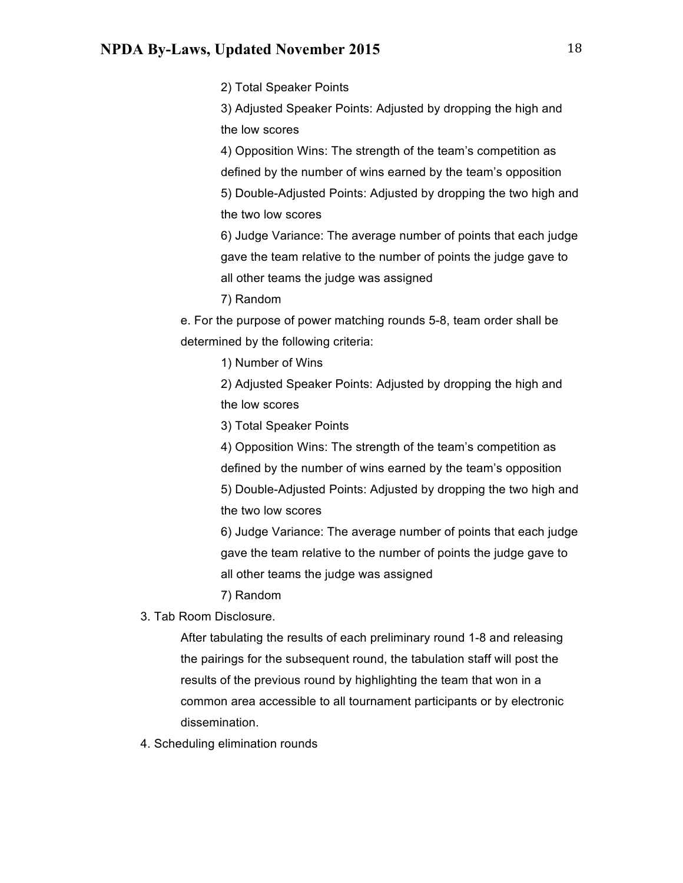2) Total Speaker Points

3) Adjusted Speaker Points: Adjusted by dropping the high and the low scores

4) Opposition Wins: The strength of the team's competition as defined by the number of wins earned by the team's opposition 5) Double-Adjusted Points: Adjusted by dropping the two high and the two low scores

6) Judge Variance: The average number of points that each judge gave the team relative to the number of points the judge gave to all other teams the judge was assigned

7) Random

e. For the purpose of power matching rounds 5-8, team order shall be determined by the following criteria:

1) Number of Wins

2) Adjusted Speaker Points: Adjusted by dropping the high and the low scores

3) Total Speaker Points

4) Opposition Wins: The strength of the team's competition as defined by the number of wins earned by the team's opposition 5) Double-Adjusted Points: Adjusted by dropping the two high and the two low scores

6) Judge Variance: The average number of points that each judge gave the team relative to the number of points the judge gave to all other teams the judge was assigned

7) Random

3. Tab Room Disclosure.

After tabulating the results of each preliminary round 1-8 and releasing the pairings for the subsequent round, the tabulation staff will post the results of the previous round by highlighting the team that won in a common area accessible to all tournament participants or by electronic dissemination.

4. Scheduling elimination rounds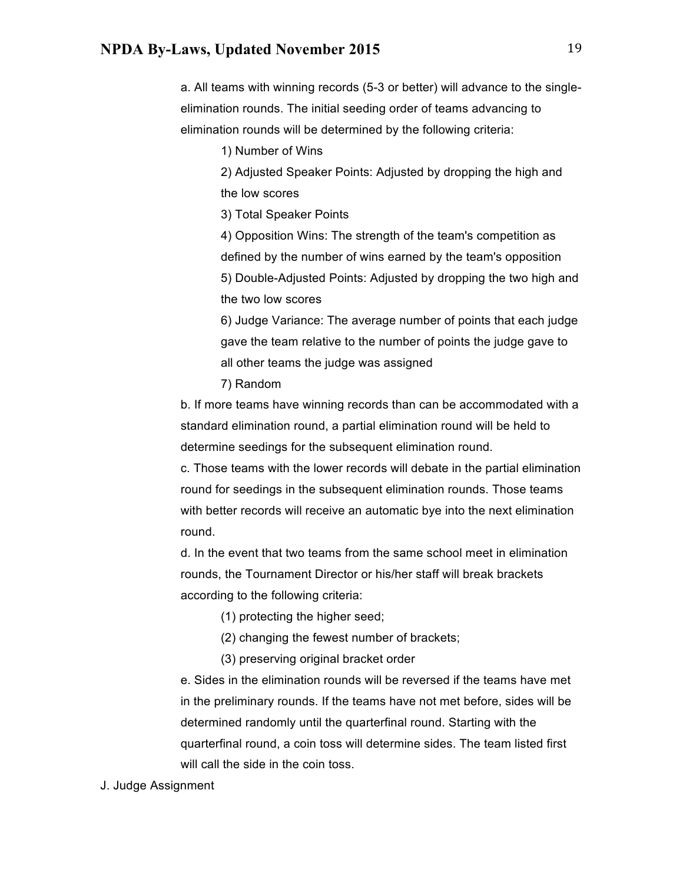a. All teams with winning records (5-3 or better) will advance to the singleelimination rounds. The initial seeding order of teams advancing to elimination rounds will be determined by the following criteria:

1) Number of Wins

2) Adjusted Speaker Points: Adjusted by dropping the high and the low scores

3) Total Speaker Points

4) Opposition Wins: The strength of the team's competition as defined by the number of wins earned by the team's opposition 5) Double-Adjusted Points: Adjusted by dropping the two high and the two low scores

6) Judge Variance: The average number of points that each judge gave the team relative to the number of points the judge gave to all other teams the judge was assigned

7) Random

b. If more teams have winning records than can be accommodated with a standard elimination round, a partial elimination round will be held to determine seedings for the subsequent elimination round.

c. Those teams with the lower records will debate in the partial elimination round for seedings in the subsequent elimination rounds. Those teams with better records will receive an automatic bye into the next elimination round.

d. In the event that two teams from the same school meet in elimination rounds, the Tournament Director or his/her staff will break brackets according to the following criteria:

(1) protecting the higher seed;

(2) changing the fewest number of brackets;

(3) preserving original bracket order

e. Sides in the elimination rounds will be reversed if the teams have met in the preliminary rounds. If the teams have not met before, sides will be determined randomly until the quarterfinal round. Starting with the quarterfinal round, a coin toss will determine sides. The team listed first will call the side in the coin toss.

J. Judge Assignment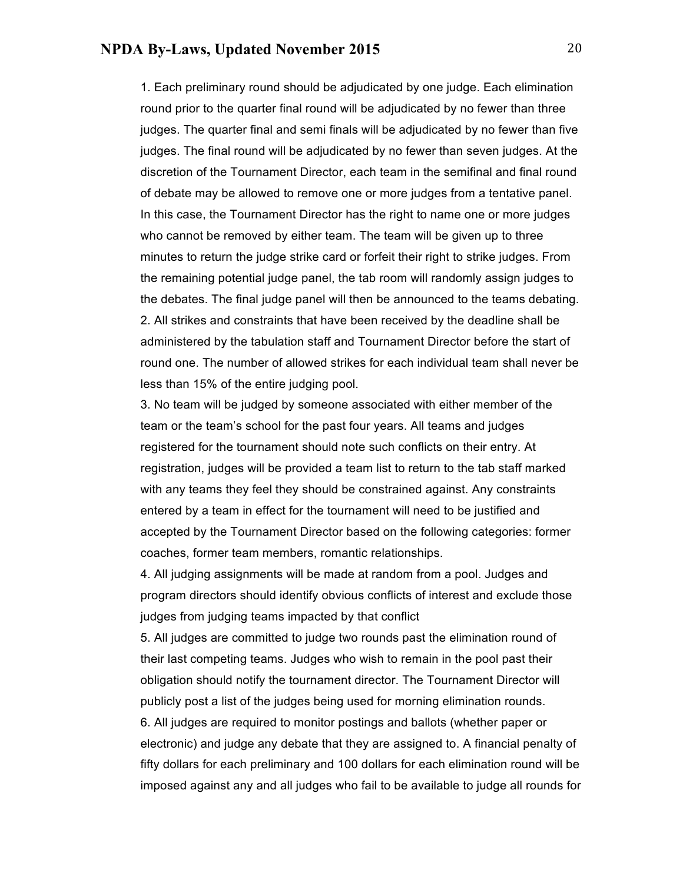1. Each preliminary round should be adjudicated by one judge. Each elimination round prior to the quarter final round will be adjudicated by no fewer than three judges. The quarter final and semi finals will be adjudicated by no fewer than five judges. The final round will be adjudicated by no fewer than seven judges. At the discretion of the Tournament Director, each team in the semifinal and final round of debate may be allowed to remove one or more judges from a tentative panel. In this case, the Tournament Director has the right to name one or more judges who cannot be removed by either team. The team will be given up to three minutes to return the judge strike card or forfeit their right to strike judges. From the remaining potential judge panel, the tab room will randomly assign judges to the debates. The final judge panel will then be announced to the teams debating. 2. All strikes and constraints that have been received by the deadline shall be administered by the tabulation staff and Tournament Director before the start of round one. The number of allowed strikes for each individual team shall never be less than 15% of the entire judging pool.

3. No team will be judged by someone associated with either member of the team or the team's school for the past four years. All teams and judges registered for the tournament should note such conflicts on their entry. At registration, judges will be provided a team list to return to the tab staff marked with any teams they feel they should be constrained against. Any constraints entered by a team in effect for the tournament will need to be justified and accepted by the Tournament Director based on the following categories: former coaches, former team members, romantic relationships.

4. All judging assignments will be made at random from a pool. Judges and program directors should identify obvious conflicts of interest and exclude those judges from judging teams impacted by that conflict

5. All judges are committed to judge two rounds past the elimination round of their last competing teams. Judges who wish to remain in the pool past their obligation should notify the tournament director. The Tournament Director will publicly post a list of the judges being used for morning elimination rounds. 6. All judges are required to monitor postings and ballots (whether paper or

electronic) and judge any debate that they are assigned to. A financial penalty of fifty dollars for each preliminary and 100 dollars for each elimination round will be imposed against any and all judges who fail to be available to judge all rounds for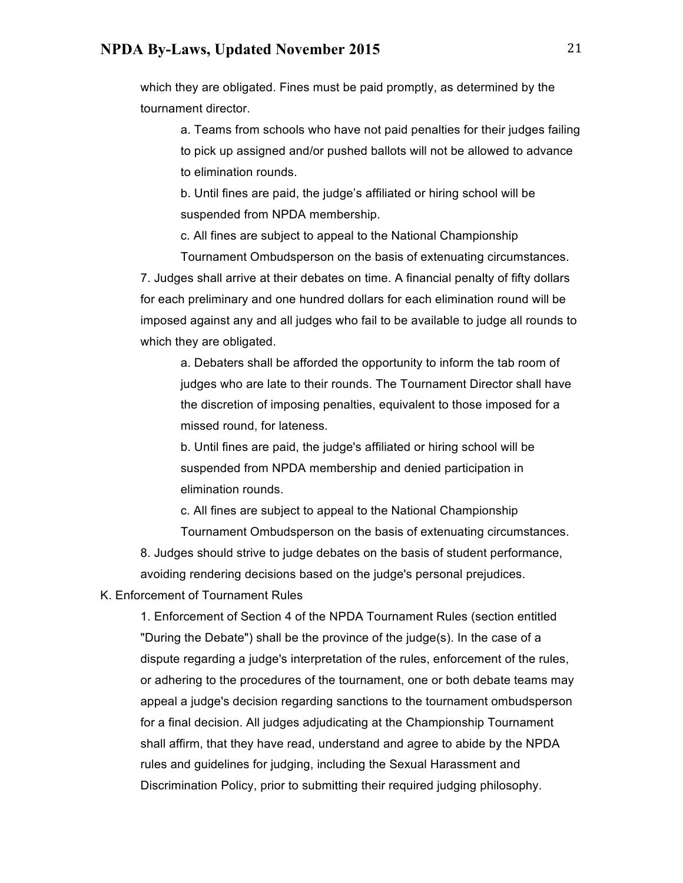which they are obligated. Fines must be paid promptly, as determined by the tournament director.

a. Teams from schools who have not paid penalties for their judges failing to pick up assigned and/or pushed ballots will not be allowed to advance to elimination rounds.

b. Until fines are paid, the judge's affiliated or hiring school will be suspended from NPDA membership.

c. All fines are subject to appeal to the National Championship

Tournament Ombudsperson on the basis of extenuating circumstances. 7. Judges shall arrive at their debates on time. A financial penalty of fifty dollars for each preliminary and one hundred dollars for each elimination round will be imposed against any and all judges who fail to be available to judge all rounds to which they are obligated.

a. Debaters shall be afforded the opportunity to inform the tab room of judges who are late to their rounds. The Tournament Director shall have the discretion of imposing penalties, equivalent to those imposed for a missed round, for lateness.

b. Until fines are paid, the judge's affiliated or hiring school will be suspended from NPDA membership and denied participation in elimination rounds.

c. All fines are subject to appeal to the National Championship Tournament Ombudsperson on the basis of extenuating circumstances.

8. Judges should strive to judge debates on the basis of student performance, avoiding rendering decisions based on the judge's personal prejudices.

K. Enforcement of Tournament Rules

1. Enforcement of Section 4 of the NPDA Tournament Rules (section entitled "During the Debate") shall be the province of the judge(s). In the case of a dispute regarding a judge's interpretation of the rules, enforcement of the rules, or adhering to the procedures of the tournament, one or both debate teams may appeal a judge's decision regarding sanctions to the tournament ombudsperson for a final decision. All judges adjudicating at the Championship Tournament shall affirm, that they have read, understand and agree to abide by the NPDA rules and guidelines for judging, including the Sexual Harassment and Discrimination Policy, prior to submitting their required judging philosophy.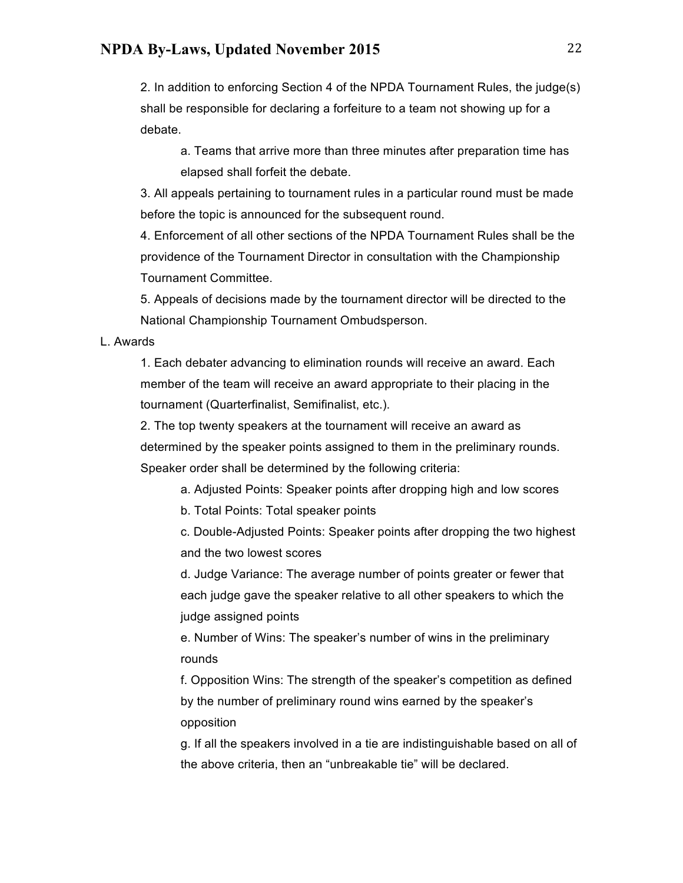2. In addition to enforcing Section 4 of the NPDA Tournament Rules, the judge(s) shall be responsible for declaring a forfeiture to a team not showing up for a debate.

a. Teams that arrive more than three minutes after preparation time has elapsed shall forfeit the debate.

3. All appeals pertaining to tournament rules in a particular round must be made before the topic is announced for the subsequent round.

4. Enforcement of all other sections of the NPDA Tournament Rules shall be the providence of the Tournament Director in consultation with the Championship Tournament Committee.

5. Appeals of decisions made by the tournament director will be directed to the National Championship Tournament Ombudsperson.

#### L. Awards

1. Each debater advancing to elimination rounds will receive an award. Each member of the team will receive an award appropriate to their placing in the tournament (Quarterfinalist, Semifinalist, etc.).

2. The top twenty speakers at the tournament will receive an award as determined by the speaker points assigned to them in the preliminary rounds. Speaker order shall be determined by the following criteria:

a. Adjusted Points: Speaker points after dropping high and low scores

b. Total Points: Total speaker points

c. Double-Adjusted Points: Speaker points after dropping the two highest and the two lowest scores

d. Judge Variance: The average number of points greater or fewer that each judge gave the speaker relative to all other speakers to which the judge assigned points

e. Number of Wins: The speaker's number of wins in the preliminary rounds

f. Opposition Wins: The strength of the speaker's competition as defined by the number of preliminary round wins earned by the speaker's opposition

g. If all the speakers involved in a tie are indistinguishable based on all of the above criteria, then an "unbreakable tie" will be declared.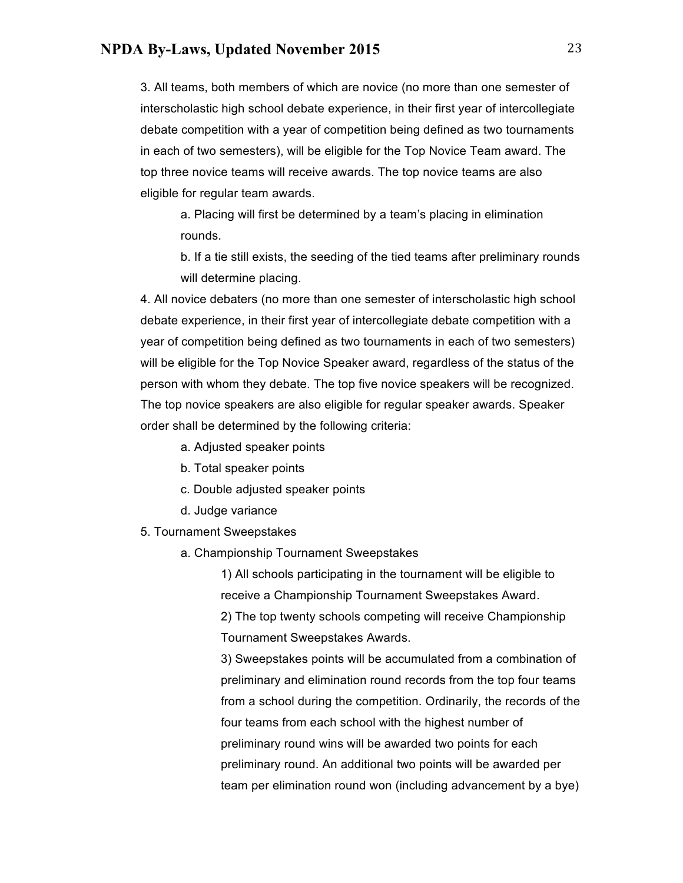3. All teams, both members of which are novice (no more than one semester of interscholastic high school debate experience, in their first year of intercollegiate debate competition with a year of competition being defined as two tournaments in each of two semesters), will be eligible for the Top Novice Team award. The top three novice teams will receive awards. The top novice teams are also eligible for regular team awards.

a. Placing will first be determined by a team's placing in elimination rounds.

b. If a tie still exists, the seeding of the tied teams after preliminary rounds will determine placing.

4. All novice debaters (no more than one semester of interscholastic high school debate experience, in their first year of intercollegiate debate competition with a year of competition being defined as two tournaments in each of two semesters) will be eligible for the Top Novice Speaker award, regardless of the status of the person with whom they debate. The top five novice speakers will be recognized. The top novice speakers are also eligible for regular speaker awards. Speaker order shall be determined by the following criteria:

- a. Adjusted speaker points
- b. Total speaker points
- c. Double adjusted speaker points
- d. Judge variance
- 5. Tournament Sweepstakes
	- a. Championship Tournament Sweepstakes

1) All schools participating in the tournament will be eligible to receive a Championship Tournament Sweepstakes Award. 2) The top twenty schools competing will receive Championship Tournament Sweepstakes Awards.

3) Sweepstakes points will be accumulated from a combination of preliminary and elimination round records from the top four teams from a school during the competition. Ordinarily, the records of the four teams from each school with the highest number of preliminary round wins will be awarded two points for each preliminary round. An additional two points will be awarded per team per elimination round won (including advancement by a bye)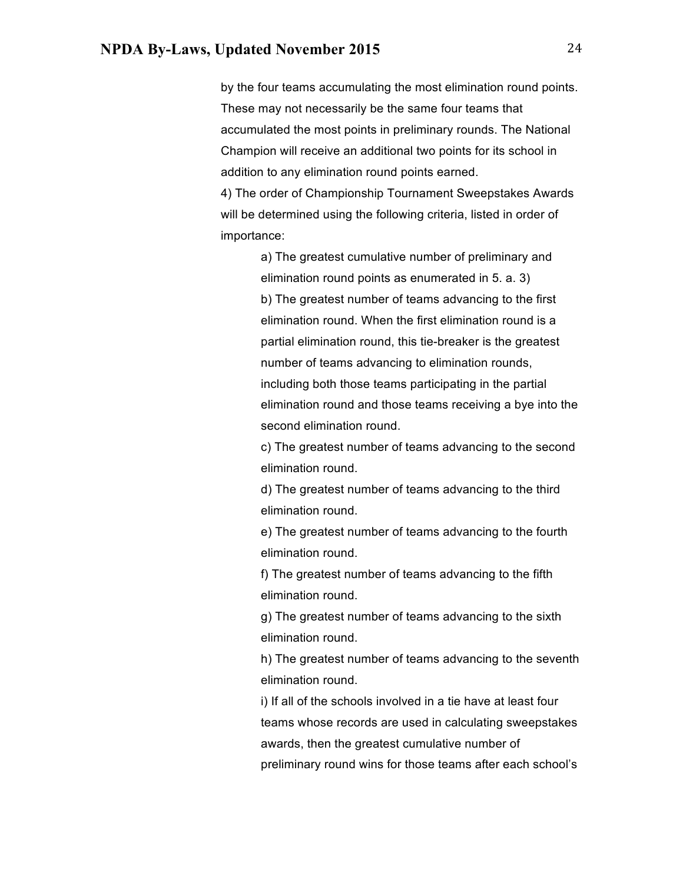by the four teams accumulating the most elimination round points. These may not necessarily be the same four teams that accumulated the most points in preliminary rounds. The National Champion will receive an additional two points for its school in addition to any elimination round points earned.

4) The order of Championship Tournament Sweepstakes Awards will be determined using the following criteria, listed in order of importance:

> a) The greatest cumulative number of preliminary and elimination round points as enumerated in 5. a. 3) b) The greatest number of teams advancing to the first elimination round. When the first elimination round is a partial elimination round, this tie-breaker is the greatest number of teams advancing to elimination rounds, including both those teams participating in the partial elimination round and those teams receiving a bye into the second elimination round.

c) The greatest number of teams advancing to the second elimination round.

d) The greatest number of teams advancing to the third elimination round.

e) The greatest number of teams advancing to the fourth elimination round.

f) The greatest number of teams advancing to the fifth elimination round.

g) The greatest number of teams advancing to the sixth elimination round.

h) The greatest number of teams advancing to the seventh elimination round.

i) If all of the schools involved in a tie have at least four teams whose records are used in calculating sweepstakes awards, then the greatest cumulative number of preliminary round wins for those teams after each school's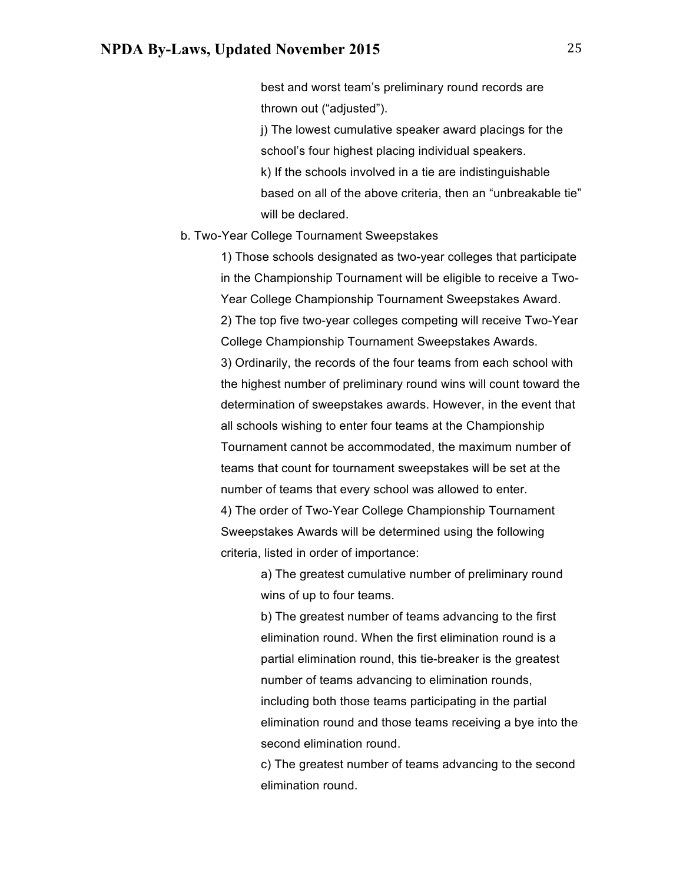best and worst team's preliminary round records are thrown out ("adjusted").

j) The lowest cumulative speaker award placings for the school's four highest placing individual speakers. k) If the schools involved in a tie are indistinguishable based on all of the above criteria, then an "unbreakable tie" will be declared.

#### b. Two-Year College Tournament Sweepstakes

1) Those schools designated as two-year colleges that participate in the Championship Tournament will be eligible to receive a Two-Year College Championship Tournament Sweepstakes Award. 2) The top five two-year colleges competing will receive Two-Year College Championship Tournament Sweepstakes Awards. 3) Ordinarily, the records of the four teams from each school with the highest number of preliminary round wins will count toward the determination of sweepstakes awards. However, in the event that all schools wishing to enter four teams at the Championship Tournament cannot be accommodated, the maximum number of teams that count for tournament sweepstakes will be set at the number of teams that every school was allowed to enter. 4) The order of Two-Year College Championship Tournament Sweepstakes Awards will be determined using the following criteria, listed in order of importance:

> a) The greatest cumulative number of preliminary round wins of up to four teams.

b) The greatest number of teams advancing to the first elimination round. When the first elimination round is a partial elimination round, this tie-breaker is the greatest number of teams advancing to elimination rounds, including both those teams participating in the partial elimination round and those teams receiving a bye into the second elimination round.

c) The greatest number of teams advancing to the second elimination round.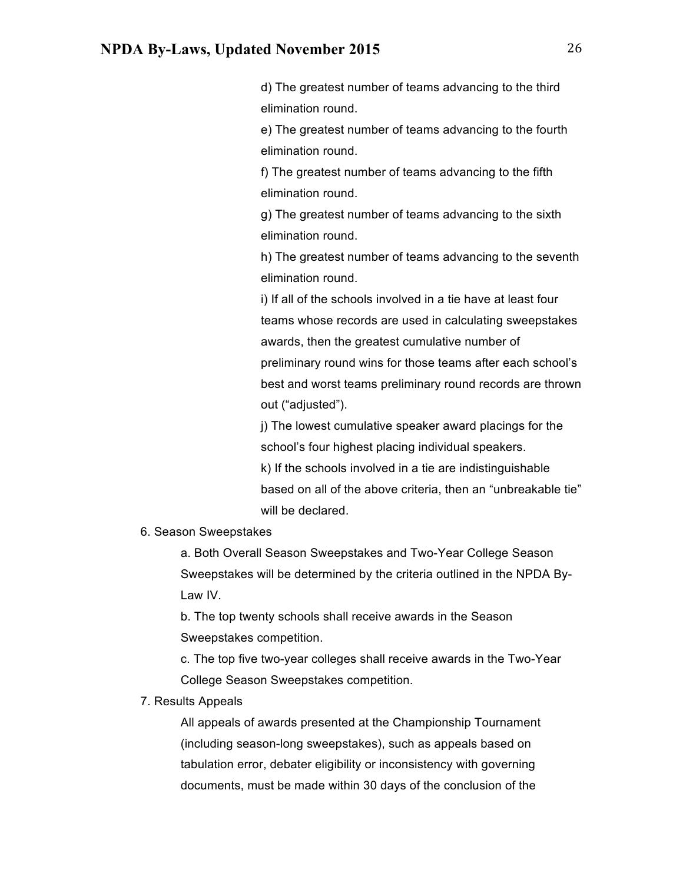d) The greatest number of teams advancing to the third elimination round.

e) The greatest number of teams advancing to the fourth elimination round.

f) The greatest number of teams advancing to the fifth elimination round.

g) The greatest number of teams advancing to the sixth elimination round.

h) The greatest number of teams advancing to the seventh elimination round.

i) If all of the schools involved in a tie have at least four teams whose records are used in calculating sweepstakes awards, then the greatest cumulative number of preliminary round wins for those teams after each school's best and worst teams preliminary round records are thrown out ("adjusted").

j) The lowest cumulative speaker award placings for the school's four highest placing individual speakers. k) If the schools involved in a tie are indistinguishable based on all of the above criteria, then an "unbreakable tie" will be declared.

#### 6. Season Sweepstakes

a. Both Overall Season Sweepstakes and Two-Year College Season Sweepstakes will be determined by the criteria outlined in the NPDA By-Law IV.

b. The top twenty schools shall receive awards in the Season Sweepstakes competition.

c. The top five two-year colleges shall receive awards in the Two-Year College Season Sweepstakes competition.

#### 7. Results Appeals

All appeals of awards presented at the Championship Tournament (including season-long sweepstakes), such as appeals based on tabulation error, debater eligibility or inconsistency with governing documents, must be made within 30 days of the conclusion of the